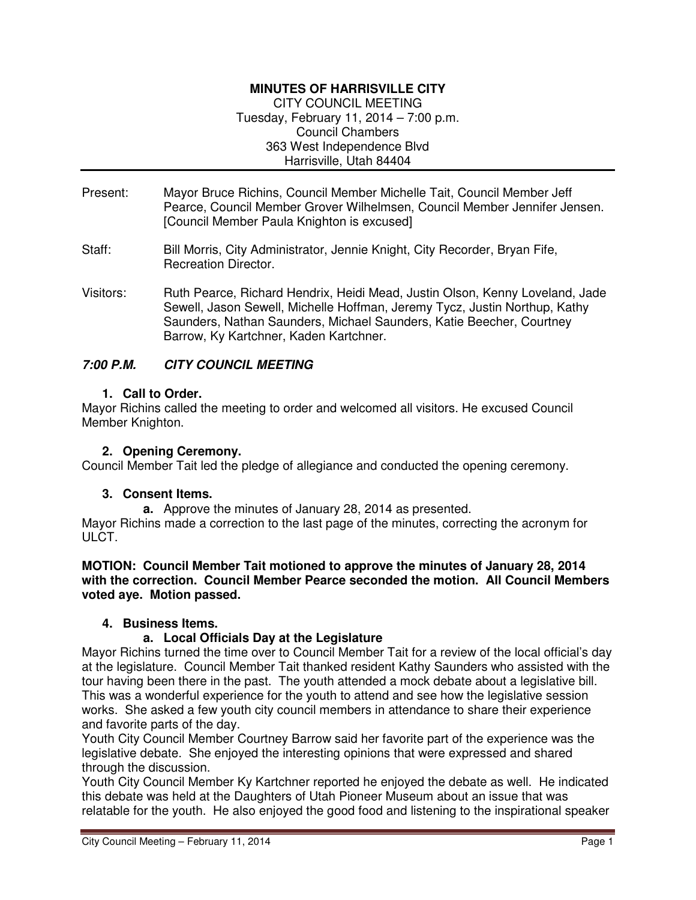# **MINUTES OF HARRISVILLE CITY**

CITY COUNCIL MEETING Tuesday, February 11, 2014 – 7:00 p.m. Council Chambers 363 West Independence Blvd Harrisville, Utah 84404

- Present: Mayor Bruce Richins, Council Member Michelle Tait, Council Member Jeff Pearce, Council Member Grover Wilhelmsen, Council Member Jennifer Jensen. [Council Member Paula Knighton is excused]
- Staff: Bill Morris, City Administrator, Jennie Knight, City Recorder, Bryan Fife, Recreation Director.
- Visitors: Ruth Pearce, Richard Hendrix, Heidi Mead, Justin Olson, Kenny Loveland, Jade Sewell, Jason Sewell, Michelle Hoffman, Jeremy Tycz, Justin Northup, Kathy Saunders, Nathan Saunders, Michael Saunders, Katie Beecher, Courtney Barrow, Ky Kartchner, Kaden Kartchner.

### **7:00 P.M. CITY COUNCIL MEETING**

### **1. Call to Order.**

Mayor Richins called the meeting to order and welcomed all visitors. He excused Council Member Knighton.

### **2. Opening Ceremony.**

Council Member Tait led the pledge of allegiance and conducted the opening ceremony.

### **3. Consent Items.**

**a.** Approve the minutes of January 28, 2014 as presented. Mayor Richins made a correction to the last page of the minutes, correcting the acronym for ULCT.

#### **MOTION: Council Member Tait motioned to approve the minutes of January 28, 2014 with the correction. Council Member Pearce seconded the motion. All Council Members voted aye. Motion passed.**

### **4. Business Items.**

### **a. Local Officials Day at the Legislature**

Mayor Richins turned the time over to Council Member Tait for a review of the local official's day at the legislature. Council Member Tait thanked resident Kathy Saunders who assisted with the tour having been there in the past. The youth attended a mock debate about a legislative bill. This was a wonderful experience for the youth to attend and see how the legislative session works. She asked a few youth city council members in attendance to share their experience and favorite parts of the day.

Youth City Council Member Courtney Barrow said her favorite part of the experience was the legislative debate. She enjoyed the interesting opinions that were expressed and shared through the discussion.

Youth City Council Member Ky Kartchner reported he enjoyed the debate as well. He indicated this debate was held at the Daughters of Utah Pioneer Museum about an issue that was relatable for the youth. He also enjoyed the good food and listening to the inspirational speaker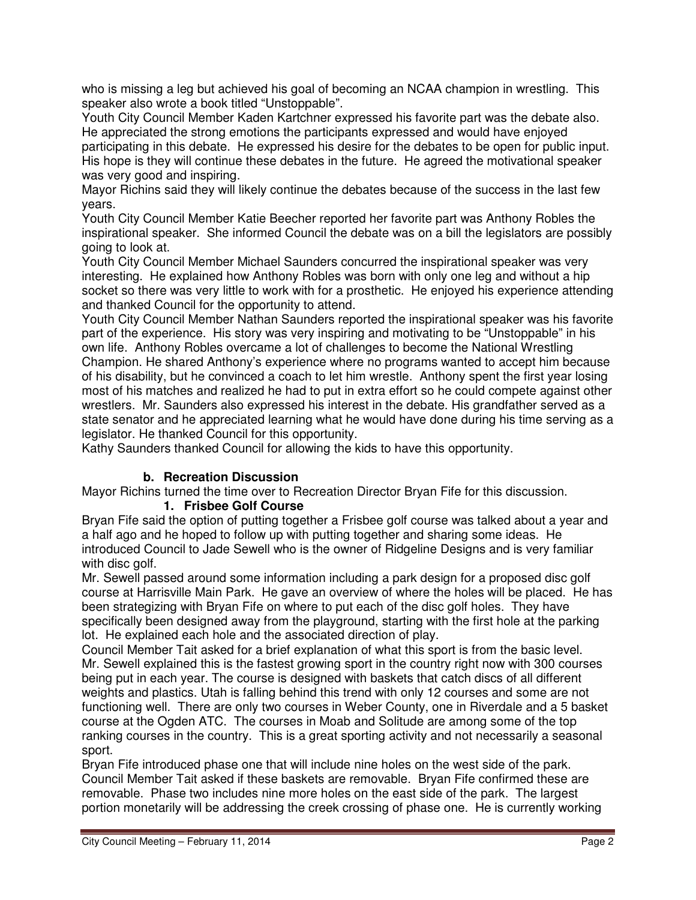who is missing a leg but achieved his goal of becoming an NCAA champion in wrestling. This speaker also wrote a book titled "Unstoppable".

Youth City Council Member Kaden Kartchner expressed his favorite part was the debate also. He appreciated the strong emotions the participants expressed and would have enjoyed participating in this debate. He expressed his desire for the debates to be open for public input. His hope is they will continue these debates in the future. He agreed the motivational speaker was very good and inspiring.

Mayor Richins said they will likely continue the debates because of the success in the last few years.

Youth City Council Member Katie Beecher reported her favorite part was Anthony Robles the inspirational speaker. She informed Council the debate was on a bill the legislators are possibly going to look at.

Youth City Council Member Michael Saunders concurred the inspirational speaker was very interesting. He explained how Anthony Robles was born with only one leg and without a hip socket so there was very little to work with for a prosthetic. He enjoyed his experience attending and thanked Council for the opportunity to attend.

Youth City Council Member Nathan Saunders reported the inspirational speaker was his favorite part of the experience. His story was very inspiring and motivating to be "Unstoppable" in his own life. Anthony Robles overcame a lot of challenges to become the National Wrestling Champion. He shared Anthony's experience where no programs wanted to accept him because of his disability, but he convinced a coach to let him wrestle. Anthony spent the first year losing most of his matches and realized he had to put in extra effort so he could compete against other wrestlers. Mr. Saunders also expressed his interest in the debate. His grandfather served as a state senator and he appreciated learning what he would have done during his time serving as a legislator. He thanked Council for this opportunity.

Kathy Saunders thanked Council for allowing the kids to have this opportunity.

# **b. Recreation Discussion**

Mayor Richins turned the time over to Recreation Director Bryan Fife for this discussion.

# **1. Frisbee Golf Course**

Bryan Fife said the option of putting together a Frisbee golf course was talked about a year and a half ago and he hoped to follow up with putting together and sharing some ideas. He introduced Council to Jade Sewell who is the owner of Ridgeline Designs and is very familiar with disc golf.

Mr. Sewell passed around some information including a park design for a proposed disc golf course at Harrisville Main Park. He gave an overview of where the holes will be placed. He has been strategizing with Bryan Fife on where to put each of the disc golf holes. They have specifically been designed away from the playground, starting with the first hole at the parking lot. He explained each hole and the associated direction of play.

Council Member Tait asked for a brief explanation of what this sport is from the basic level. Mr. Sewell explained this is the fastest growing sport in the country right now with 300 courses being put in each year. The course is designed with baskets that catch discs of all different weights and plastics. Utah is falling behind this trend with only 12 courses and some are not functioning well. There are only two courses in Weber County, one in Riverdale and a 5 basket course at the Ogden ATC. The courses in Moab and Solitude are among some of the top ranking courses in the country. This is a great sporting activity and not necessarily a seasonal sport.

Bryan Fife introduced phase one that will include nine holes on the west side of the park. Council Member Tait asked if these baskets are removable. Bryan Fife confirmed these are removable. Phase two includes nine more holes on the east side of the park. The largest portion monetarily will be addressing the creek crossing of phase one. He is currently working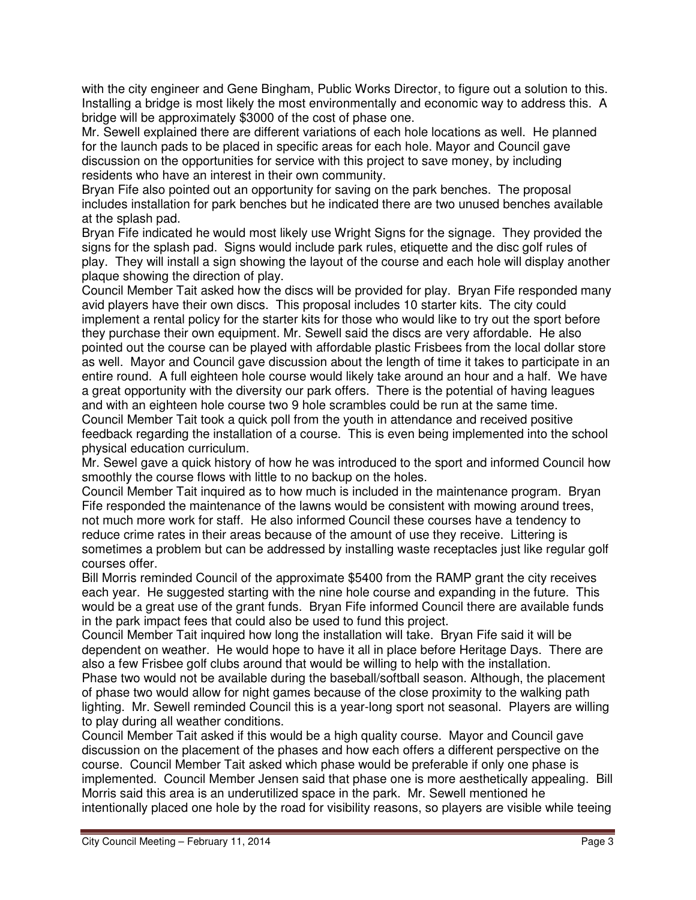with the city engineer and Gene Bingham, Public Works Director, to figure out a solution to this. Installing a bridge is most likely the most environmentally and economic way to address this. A bridge will be approximately \$3000 of the cost of phase one.

Mr. Sewell explained there are different variations of each hole locations as well. He planned for the launch pads to be placed in specific areas for each hole. Mayor and Council gave discussion on the opportunities for service with this project to save money, by including residents who have an interest in their own community.

Bryan Fife also pointed out an opportunity for saving on the park benches. The proposal includes installation for park benches but he indicated there are two unused benches available at the splash pad.

Bryan Fife indicated he would most likely use Wright Signs for the signage. They provided the signs for the splash pad. Signs would include park rules, etiquette and the disc golf rules of play. They will install a sign showing the layout of the course and each hole will display another plaque showing the direction of play.

Council Member Tait asked how the discs will be provided for play. Bryan Fife responded many avid players have their own discs. This proposal includes 10 starter kits. The city could implement a rental policy for the starter kits for those who would like to try out the sport before they purchase their own equipment. Mr. Sewell said the discs are very affordable. He also pointed out the course can be played with affordable plastic Frisbees from the local dollar store as well. Mayor and Council gave discussion about the length of time it takes to participate in an entire round. A full eighteen hole course would likely take around an hour and a half. We have a great opportunity with the diversity our park offers. There is the potential of having leagues and with an eighteen hole course two 9 hole scrambles could be run at the same time. Council Member Tait took a quick poll from the youth in attendance and received positive feedback regarding the installation of a course. This is even being implemented into the school physical education curriculum.

Mr. Sewel gave a quick history of how he was introduced to the sport and informed Council how smoothly the course flows with little to no backup on the holes.

Council Member Tait inquired as to how much is included in the maintenance program. Bryan Fife responded the maintenance of the lawns would be consistent with mowing around trees, not much more work for staff. He also informed Council these courses have a tendency to reduce crime rates in their areas because of the amount of use they receive. Littering is sometimes a problem but can be addressed by installing waste receptacles just like regular golf courses offer.

Bill Morris reminded Council of the approximate \$5400 from the RAMP grant the city receives each year. He suggested starting with the nine hole course and expanding in the future. This would be a great use of the grant funds. Bryan Fife informed Council there are available funds in the park impact fees that could also be used to fund this project.

Council Member Tait inquired how long the installation will take. Bryan Fife said it will be dependent on weather. He would hope to have it all in place before Heritage Days. There are also a few Frisbee golf clubs around that would be willing to help with the installation.

Phase two would not be available during the baseball/softball season. Although, the placement of phase two would allow for night games because of the close proximity to the walking path lighting. Mr. Sewell reminded Council this is a year-long sport not seasonal. Players are willing to play during all weather conditions.

Council Member Tait asked if this would be a high quality course. Mayor and Council gave discussion on the placement of the phases and how each offers a different perspective on the course. Council Member Tait asked which phase would be preferable if only one phase is implemented. Council Member Jensen said that phase one is more aesthetically appealing. Bill Morris said this area is an underutilized space in the park. Mr. Sewell mentioned he intentionally placed one hole by the road for visibility reasons, so players are visible while teeing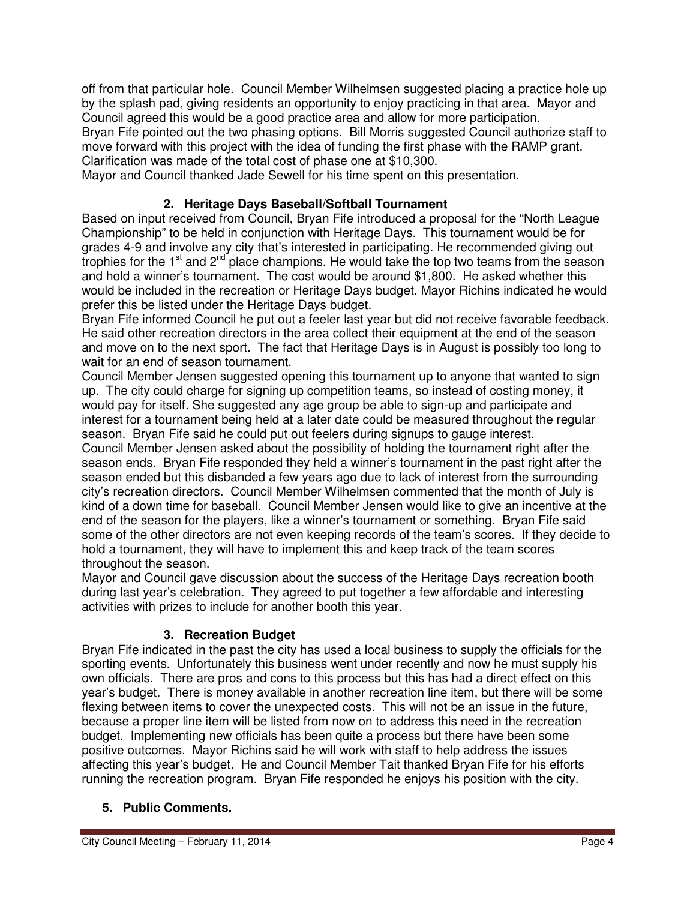off from that particular hole. Council Member Wilhelmsen suggested placing a practice hole up by the splash pad, giving residents an opportunity to enjoy practicing in that area. Mayor and Council agreed this would be a good practice area and allow for more participation. Bryan Fife pointed out the two phasing options. Bill Morris suggested Council authorize staff to move forward with this project with the idea of funding the first phase with the RAMP grant. Clarification was made of the total cost of phase one at \$10,300.

Mayor and Council thanked Jade Sewell for his time spent on this presentation.

### **2. Heritage Days Baseball/Softball Tournament**

Based on input received from Council, Bryan Fife introduced a proposal for the "North League Championship" to be held in conjunction with Heritage Days. This tournament would be for grades 4-9 and involve any city that's interested in participating. He recommended giving out trophies for the  $1<sup>st</sup>$  and  $2<sup>nd</sup>$  place champions. He would take the top two teams from the season and hold a winner's tournament. The cost would be around \$1,800. He asked whether this would be included in the recreation or Heritage Days budget. Mayor Richins indicated he would prefer this be listed under the Heritage Days budget.

Bryan Fife informed Council he put out a feeler last year but did not receive favorable feedback. He said other recreation directors in the area collect their equipment at the end of the season and move on to the next sport. The fact that Heritage Days is in August is possibly too long to wait for an end of season tournament.

Council Member Jensen suggested opening this tournament up to anyone that wanted to sign up. The city could charge for signing up competition teams, so instead of costing money, it would pay for itself. She suggested any age group be able to sign-up and participate and interest for a tournament being held at a later date could be measured throughout the regular season. Bryan Fife said he could put out feelers during signups to gauge interest.

Council Member Jensen asked about the possibility of holding the tournament right after the season ends. Bryan Fife responded they held a winner's tournament in the past right after the season ended but this disbanded a few years ago due to lack of interest from the surrounding city's recreation directors. Council Member Wilhelmsen commented that the month of July is kind of a down time for baseball. Council Member Jensen would like to give an incentive at the end of the season for the players, like a winner's tournament or something. Bryan Fife said some of the other directors are not even keeping records of the team's scores. If they decide to hold a tournament, they will have to implement this and keep track of the team scores throughout the season.

Mayor and Council gave discussion about the success of the Heritage Days recreation booth during last year's celebration. They agreed to put together a few affordable and interesting activities with prizes to include for another booth this year.

### **3. Recreation Budget**

Bryan Fife indicated in the past the city has used a local business to supply the officials for the sporting events. Unfortunately this business went under recently and now he must supply his own officials. There are pros and cons to this process but this has had a direct effect on this year's budget. There is money available in another recreation line item, but there will be some flexing between items to cover the unexpected costs. This will not be an issue in the future, because a proper line item will be listed from now on to address this need in the recreation budget. Implementing new officials has been quite a process but there have been some positive outcomes. Mayor Richins said he will work with staff to help address the issues affecting this year's budget. He and Council Member Tait thanked Bryan Fife for his efforts running the recreation program. Bryan Fife responded he enjoys his position with the city.

### **5. Public Comments.**